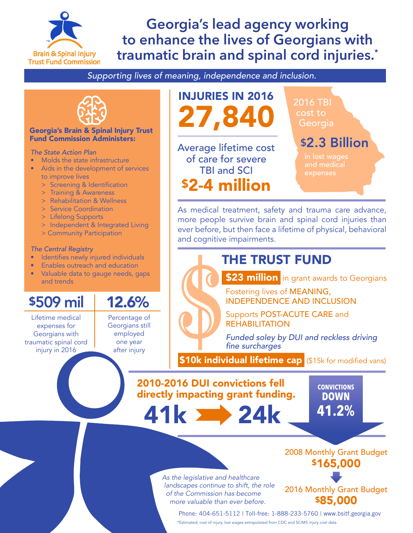

## **Georgia's lead agency working to enhance the lives of Georgians with traumatic brain and spinal cord injuries.\***

*Supporting lives of meaning, independence and inclusion.*



### Georgia's Brain & Spinal Injury Trust Fund Commission Administers:

### *The State Action Plan*

- Molds the state infrastructure
- Aids in the development of services to improve lives
	- > Screening & Identification
	- > Training & Awareness
	- > Rehabilitation & Wellness
	- > Service Coordination
	- > Lifelong Supports
	- > Independent & Integrated Living
	- > Community Participation

### *The Central Registry*

- I dentifies newly injured individuals
- Enables outreach and education
- Valuable data to gauge needs, gaps and trends

Lifetime medical expenses for Georgians with traumatic spinal cord injury in 2016 and trends<br>
S509 mil 12.6%<br>
Lifetime medical Percentage of<br>
expenses for Georgians still<br>
aumatic spinal cord one year<br>
injury in 2016

Percentage of Georgians still employed one year after injury



of care for severe TBI and SCI \$2-4 million 2016 TBI cost to **Georgia** 

## \$2.3 Billion

and medical

As medical treatment, safety and trauma care advance, more people survive brain and spinal cord injuries than ever before, but then face a lifetime of physical, behavioral and cognitive impairments.

## THE TRUST FUND



Fostering lives of MEANING, INDEPENDENCE AND INCLUSION

Supports POST-ACUTE CARE and REHABILITATION

*Funded soley by DUI and reckless driving*  fine surcharges

**\$10k individual lifetime cap** (\$15k for modified vans)

2010-2016 DUI convictions fell directly impacting grant funding.

41k **24**k

**41.2% CONVICTIONS DOWN**

*As the legislative and healthcare landscapes continue to shift, the role of the Commission has become more valuable than ever before.*

\$165,000

2008 Monthly Grant Budget

2016 Monthly Grant Budget \$85,000

Phone: 404-651-5112 | Toll-free: 1-888-233-5760 | www.bsitf.georgia.gov \*Estimated; cost of injury, lost wages extrapolated from CDC and SCIMS injury cost data.